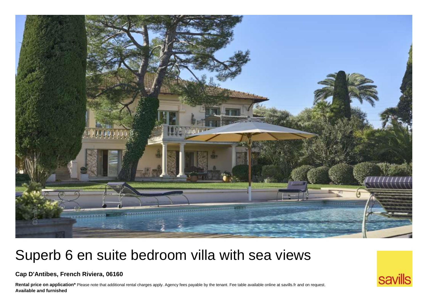

# Superb 6 en suite bedroom villa with sea views

## **Cap D'Antibes, French Riviera, 06160**

**Rental price on application\*** Please note that additional rental charges apply. Agency fees payable by the tenant. Fee table available online at savills.fr and on request. **Available and furnished**

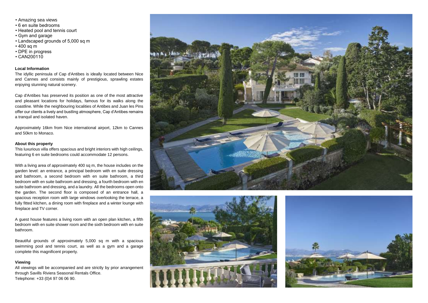- Amazing sea views
- 6 en suite bedrooms
- Heated pool and tennis court
- Gym and garage
- Landscaped grounds of 5,000 sq m
- 400 sq m
- DPE in progress
- $\cdot$  CAN200110

#### **Local Information**

The idyllic peninsula of Cap d'Antibes is ideally located between Nice and Cannes and consists mainly of prestigious, sprawling estates enjoying stunning natural scenery.

Cap d'Antibes has preserved its position as one of the most attractive and pleasant locations for holidays, famous for its walks along the coastline. While the neighbouring localities of Antibes and Juan les Pins offer our clients a lively and bustling atmosphere, Cap d'Antibes remains a tranquil and isolated haven.

Approximately 16km from Nice international airport, 12km to Cannes and 50km to Monaco.

#### **About this property**

This luxurious villa offers spacious and bright interiors with high ceilings, featuring 6 en suite bedrooms could accommodate 12 persons.

With a living area of approximately 400 sq m, the house includes on the garden level: an entrance, a principal bedroom with en suite dressing and bathroom, a second bedroom with en suite bathroom, a third bedroom with en suite bathroom and dressing, a fourth bedroom with en suite bathroom and dressing, and a laundry. All the bedrooms open onto the garden. The second floor is composed of an entrance hall, a spacious reception room with large windows overlooking the terrace, a fully fitted kitchen, a dining room with fireplace and a winter lounge with fireplace and TV corner.

A guest house features a living room with an open plan kitchen, a fifth bedroom with en suite shower room and the sixth bedroom with en suite bathroom.

Beautiful grounds of approximately 5,000 sq m with a spacious swimming pool and tennis court, as well as a gym and a garage complete this magnificent property.

### **Viewing**

All viewings will be accompanied and are strictly by prior arrangement through Savills Riviera Seasonal Rentals Office. Telephone: +33 (0)4 97 06 06 90.





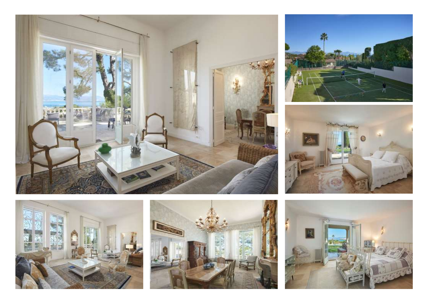